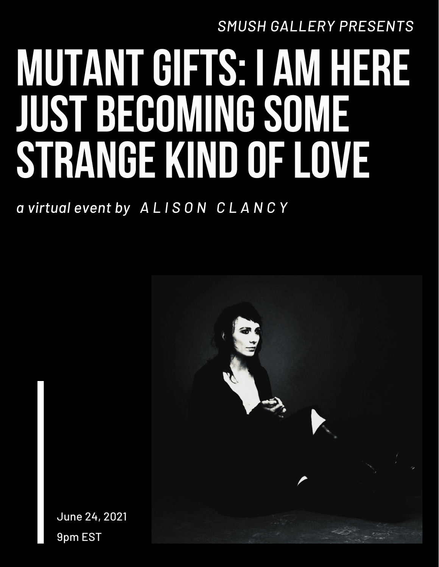*SMUSH GALLERY PRESENTS*

# **MUTANTGIFTS: I AM HERE JUST BECOMINGSOME STRANGE KIND OFLOVE**

*a virtual event by A L I S O N C L A N C Y*



June 24, 2021 9pm EST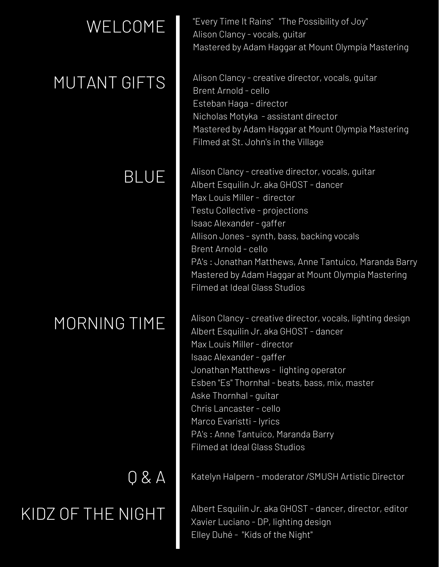## WELCOME

#### MUTANT GIFTS

#### BLUE

#### MORNING TIME

# KIDZ OF THE NIGHT

Q & A

"Every Time It Rains" "The Possibility of Joy" Alison Clancy - vocals, guitar Mastered by Adam Haggar at Mount Olympia Mastering

Alison Clancy - creative director, vocals, guitar Brent Arnold - cello Esteban Haga - director Nicholas Motyka - assistant director Mastered by Adam Haggar at Mount Olympia Mastering Filmed at St. John's in the Village

Alison Clancy - creative director, vocals, guitar Albert Esquilin Jr. aka GHOST - dancer Max Louis Miller - director Testu Collective - projections Isaac Alexander - gaffer Allison Jones - synth, bass, backing vocals Brent Arnold - cello PA's : Jonathan Matthews, Anne Tantuico, Maranda Barry Mastered by Adam Haggar at Mount Olympia Mastering Filmed at Ideal Glass Studios

Alison Clancy - creative director, vocals, lighting design Albert Esquilin Jr. aka GHOST - dancer Max Louis Miller - director Isaac Alexander - gaffer Jonathan Matthews - lighting operator Esben "Es" Thornhal - beats, bass, mix, master Aske Thornhal - guitar Chris Lancaster - cello Marco Evaristti - lyrics PA's : Anne Tantuico, Maranda Barry Filmed at Ideal Glass Studios

Katelyn Halpern - moderator /SMUSH Artistic Director

Albert Esquilin Jr. aka GHOST - dancer, director, editor Xavier Luciano - DP, lighting design Elley Duhé - "Kids of the Night"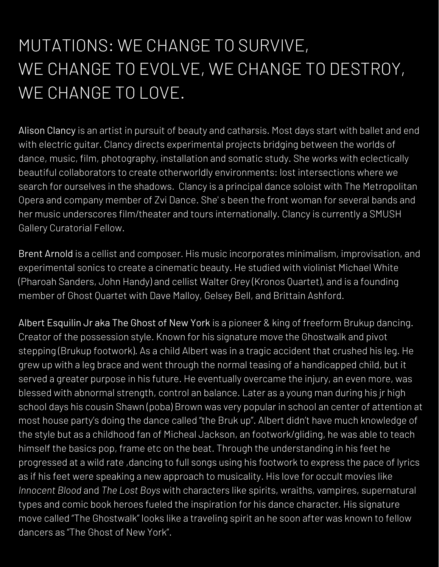### MUTATIONS: WE CHANGE TO SURVIVE, WE CHANGE TO EVOLVE, WE CHANGE TO DESTROY, WE CHANGE TO LOVE.

Alison Clancy is an artist in pursuit of beauty and catharsis. Most days start with ballet and end with electric guitar. Clancy directs experimental projects bridging between the worlds of dance, music, film, photography, installation and somatic study. She works with eclectically beautiful collaborators to create otherworldly environments: lost intersections where we search for ourselves in the shadows. Clancy is a principal dance soloist with The Metropolitan Opera and company member of Zvi Dance. She' s been the front woman for several bands and her music underscores film/theater and tours internationally. Clancy is currently a SMUSH Gallery Curatorial Fellow.

Brent Arnold is a cellist and composer. His music incorporates minimalism, improvisation, and experimental sonics to create a cinematic beauty. He studied with violinist Michael White (Pharoah Sanders, John Handy) and cellist Walter Grey (Kronos Quartet), and is a founding member of Ghost Quartet with Dave Malloy, Gelsey Bell, and Brittain Ashford.

Albert Esquilin Jr aka The Ghost of New York is a pioneer & king of freeform Brukup dancing. Creator of the possession style. Known for his signature move the Ghostwalk and pivot stepping (Brukup footwork). As a child Albert was in a tragic accident that crushed his leg. He grew up with a leg brace and went through the normal teasing of a handicapped child, but it served a greater purpose in his future. He eventually overcame the injury, an even more, was blessed with abnormal strength, control an balance. Later as a young man during his jr high school days his cousin Shawn (poba) Brown was very popular in school an center of attention at most house party's doing the dance called "the Bruk up". Albert didn't have much knowledge of the style but as a childhood fan of Micheal Jackson, an footwork/gliding, he was able to teach himself the basics pop, frame etc on the beat. Through the understanding in his feet he progressed at a wild rate ,dancing to full songs using his footwork to express the pace of lyrics as if his feet were speaking a new approach to musicality. His love for occult movies like *Innocent Blood* and *The Lost Boys* with characters like spirits, wraiths, vampires, supernatural types and comic book heroes fueled the inspiration for his dance character. His signature move called "The Ghostwalk" looks like a traveling spirit an he soon after was known to fellow dancers as "The Ghost of New York".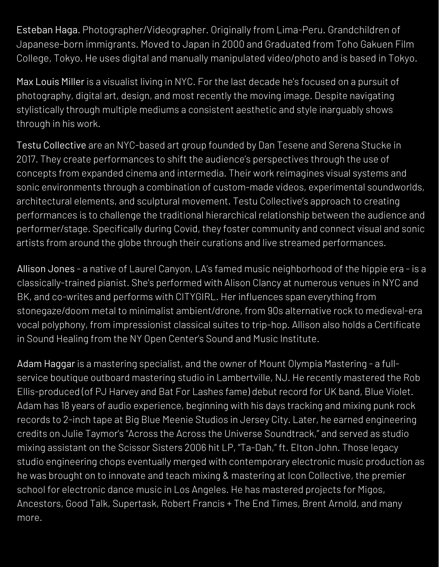Esteban Haga. Photographer/Videographer. Originally from Lima-Peru. Grandchildren of Japanese-born immigrants. Moved to Japan in 2000 and Graduated from Toho Gakuen Film College, Tokyo. He uses digital and manually manipulated video/photo and is based in Tokyo.

Max Louis Miller is a visualist living in NYC. For the last decade he's focused on a pursuit of photography, digital art, design, and most recently the moving image. Despite navigating stylistically through multiple mediums a consistent aesthetic and style inarguably shows through in his work.

Testu Collective are an NYC-based art group founded by Dan Tesene and Serena Stucke in 2017. They create performances to shift the audience's perspectives through the use of concepts from expanded cinema and intermedia. Their work reimagines visual systems and sonic environments through a combination of custom-made videos, experimental soundworlds, architectural elements, and sculptural movement. Testu Collective's approach to creating performances is to challenge the traditional hierarchical relationship between the audience and performer/stage. Specifically during Covid, they foster community and connect visual and sonic artists from around the globe through their curations and live streamed performances.

Allison Jones - a native of Laurel Canyon, LA's famed music neighborhood of the hippie era - is a classically-trained pianist. She's performed with Alison Clancy at numerous venues in NYC and BK, and co-writes and performs with CITYGIRL. Her influences span everything from stonegaze/doom metal to minimalist ambient/drone, from 90s alternative rock to medieval-era vocal polyphony, from impressionist classical suites to trip-hop. Allison also holds a Certificate in Sound Healing from the NY Open Center's Sound and Music [Institute.](http://institute.www.alisonclancy.com/)

Adam Haggar is a mastering specialist, and the owner of Mount Olympia Mastering - a fullservice boutique outboard mastering studio in Lambertville, NJ. He recently mastered the Rob Ellis-produced (of PJ Harvey and Bat For Lashes fame) debut record for UK band, Blue Violet. Adam has 18 years of audio experience, beginning with his days tracking and mixing punk rock records to 2-inch tape at Big Blue Meenie Studios in Jersey City. Later, he earned engineering credits on Julie Taymor's "Across the Across the Universe Soundtrack," and served as studio mixing assistant on the Scissor Sisters 2006 hit LP, "Ta-Dah," ft. Elton John. Those legacy studio engineering chops eventually merged with contemporary electronic music production as he was brought on to innovate and teach mixing & mastering at Icon Collective, the premier school for electronic dance music in Los Angeles. He has mastered projects for Migos, Ancestors, Good Talk, Supertask, Robert Francis + The End Times, Brent Arnold, and many more.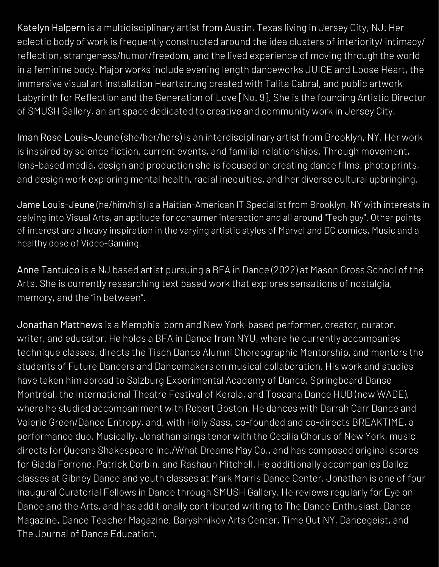Katelyn Halpern is a multidisciplinary artist from Austin, Texas living in Jersey City, NJ. Her eclectic body of work is frequently constructed around the idea clusters of interiority/ intimacy/ reflection, strangeness/humor/freedom, and the lived experience of moving through the world in a feminine body. Major works include evening length danceworks [JUICE](http://www.katelynhalpern.com/juice) and [Loose](http://www.katelynhalpern.com/looseheart) Heart, the immersive visual art installation Heartstrung created with Talita Cabral, and public artwork Labyrinth for Reflection and the Generation of Love [No. 9]. She is the founding Artistic Director of [SMUSH](http://smushgallery.com/) Gallery, an art space dedicated to creative and community work in Jersey City.

Iman Rose Louis-Jeune (she/her/hers) is an interdisciplinary artist from Brooklyn, NY. Her work is inspired by science fiction, current events, and familial relationships. Through movement, lens-based media, design and production she is focused on creating dance films, photo prints, and design work exploring mental health, racial inequities, and her diverse cultural upbringing.

Jame Louis-Jeune (he/him/his) is a Haitian-American IT Specialist from Brooklyn, NY with interests in delving into Visual Arts, an aptitude for consumer interaction and all around "Tech guy". Other points of interest are a heavy inspiration in the varying artistic styles of Marvel and DC comics, Music and a healthy dose of Video-Gaming.

Anne Tantuico is a NJ based artist pursuing a BFA in Dance (2022) at Mason Gross School of the Arts. She is currently researching text based work that explores sensations of nostalgia, memory, and the "in between".

Jonathan Matthews is a Memphis-born and New York-based performer, creator, curator, writer, and educator. He holds a BFA in Dance from NYU, where he currently accompanies technique classes, directs the Tisch Dance Alumni Choreographic Mentorship, and mentors the students of Future Dancers and Dancemakers on musical collaboration. His work and studies have taken him abroad to Salzburg Experimental Academy of Dance, Springboard Danse Montréal, the International Theatre Festival of Kerala, and Toscana Dance HUB (now WADE), where he studied accompaniment with Robert Boston. He dances with Darrah Carr Dance and Valerie Green/Dance Entropy, and, with Holly Sass, co-founded and co-directs BREAKTIME, a performance duo. Musically, Jonathan sings tenor with the Cecilia Chorus of New York, music directs for Queens Shakespeare Inc./What Dreams May Co., and has composed original scores for Giada Ferrone, Patrick Corbin, and Rashaun Mitchell. He additionally accompanies Ballez classes at Gibney Dance and youth classes at Mark Morris Dance Center. Jonathan is one of four inaugural Curatorial Fellows in Dance through SMUSH Gallery. He reviews regularly for Eye on Dance and the Arts, and has additionally contributed writing to The Dance Enthusiast, Dance Magazine, Dance Teacher Magazine, Baryshnikov Arts Center, Time Out NY, Dancegeist, and The Journal of Dance Education.